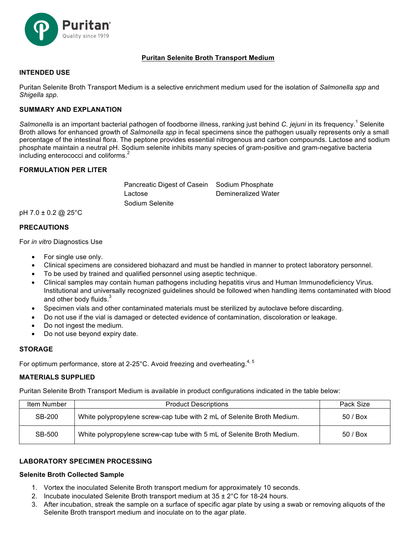

# **Puritan Selenite Broth Transport Medium**

#### **INTENDED USE**

Puritan Selenite Broth Transport Medium is a selective enrichment medium used for the isolation of *Salmonella spp* and *Shigella spp*.

## **SUMMARY AND EXPLANATION**

*Salmonella* is an important bacterial pathogen of foodborne illness, ranking just behind *C. jejuni* in its frequency.<sup>1</sup> Selenite Broth allows for enhanced growth of *Salmonella spp* in fecal specimens since the pathogen usually represents only a small percentage of the intestinal flora. The peptone provides essential nitrogenous and carbon compounds. Lactose and sodium phosphate maintain a neutral pH. Sodium selenite inhibits many species of gram-positive and gram-negative bacteria including enterococci and coliforms.<sup>2</sup>

## **FORMULATION PER LITER**

Pancreatic Digest of Casein Sodium Phosphate Lactose Demineralized Water Sodium Selenite

pH 7.0 ± 0.2 @ 25°C

#### **PRECAUTIONS**

For *in vitro* Diagnostics Use

- For single use only.
- Clinical specimens are considered biohazard and must be handled in manner to protect laboratory personnel.
- To be used by trained and qualified personnel using aseptic technique.
- Clinical samples may contain human pathogens including hepatitis virus and Human Immunodeficiency Virus. Institutional and universally recognized guidelines should be followed when handling items contaminated with blood and other body fluids.<sup>3</sup>
- Specimen vials and other contaminated materials must be sterilized by autoclave before discarding.
- Do not use if the vial is damaged or detected evidence of contamination, discoloration or leakage.
- Do not ingest the medium.
- Do not use beyond expiry date.

### **STORAGE**

For optimum performance, store at 2-25 $^{\circ}$ C. Avoid freezing and overheating.<sup>4, 5</sup>

#### **MATERIALS SUPPLIED**

Puritan Selenite Broth Transport Medium is available in product configurations indicated in the table below:

| Item Number | <b>Product Descriptions</b>                                            | Pack Size |
|-------------|------------------------------------------------------------------------|-----------|
| SB-200      | White polypropylene screw-cap tube with 2 mL of Selenite Broth Medium. | 50/Box    |
| SB-500      | White polypropylene screw-cap tube with 5 mL of Selenite Broth Medium. | 50/Box    |

## **LABORATORY SPECIMEN PROCESSING**

#### **Selenite Broth Collected Sample**

- 1. Vortex the inoculated Selenite Broth transport medium for approximately 10 seconds.
- 2. Incubate inoculated Selenite Broth transport medium at  $35 \pm 2^{\circ}$ C for 18-24 hours.
- 3. After incubation, streak the sample on a surface of specific agar plate by using a swab or removing aliquots of the Selenite Broth transport medium and inoculate on to the agar plate.